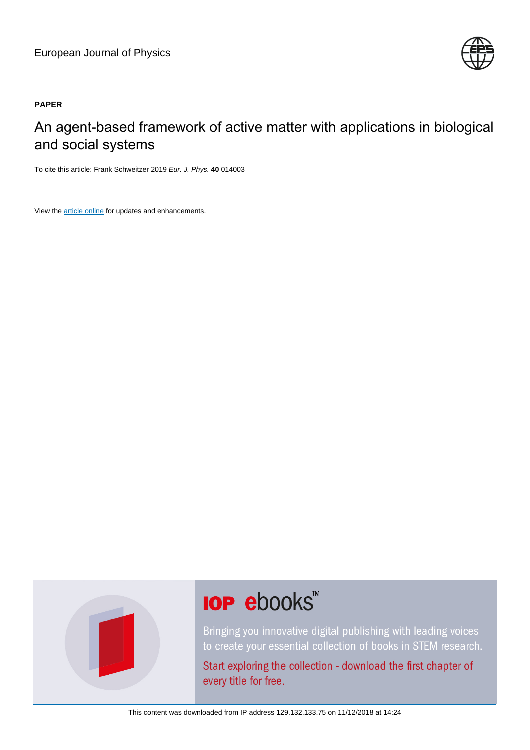

## **PAPER**

An agent-based framework of active matter with applications in biological and social systems

To cite this article: Frank Schweitzer 2019 Eur. J. Phys. **40** 014003

View the [article online](https://doi.org/10.1088/1361-6404/aaeb63) for updates and enhancements.



# **IOP ebooks™**

Bringing you innovative digital publishing with leading voices to create your essential collection of books in STEM research.

Start exploring the collection - download the first chapter of every title for free.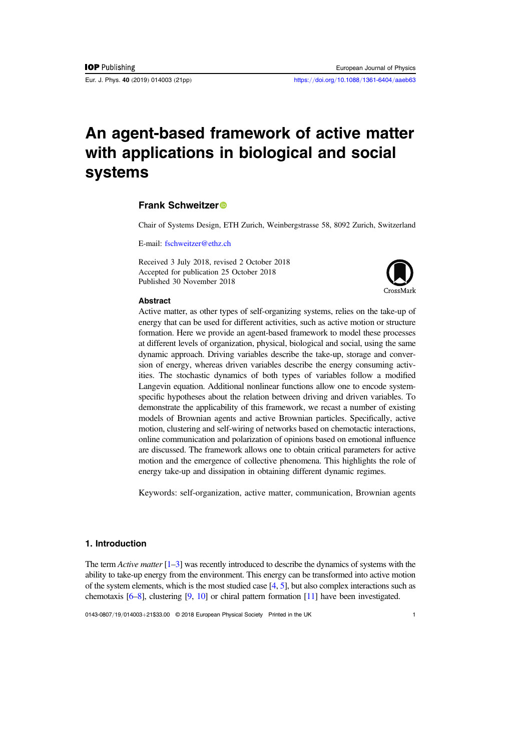Eur. J. Phys. 40 (2019) 014003 (21pp) https://doi.org/10.1088/[1361-6404](https://doi.org/10.1088/1361-6404/aaeb63)/aaeb63

# An agent-based framework of active matter with applications in biological and social systems

#### Frank Schweitze[r](https://orcid.org/0000-0003-1551-6491)

Chair of Systems Design, ETH Zurich, Weinbergstrasse 58, 8092 Zurich, Switzerland

E-mail: [fschweitzer@ethz.ch](mailto:fschweitzer@ethz.ch)

Received 3 July 2018, revised 2 October 2018 Accepted for publication 25 October 2018 Published 30 November 2018



#### **Abstract**

Active matter, as other types of self-organizing systems, relies on the take-up of energy that can be used for different activities, such as active motion or structure formation. Here we provide an agent-based framework to model these processes at different levels of organization, physical, biological and social, using the same dynamic approach. Driving variables describe the take-up, storage and conversion of energy, whereas driven variables describe the energy consuming activities. The stochastic dynamics of both types of variables follow a modified Langevin equation. Additional nonlinear functions allow one to encode systemspecific hypotheses about the relation between driving and driven variables. To demonstrate the applicability of this framework, we recast a number of existing models of Brownian agents and active Brownian particles. Specifically, active motion, clustering and self-wiring of networks based on chemotactic interactions, online communication and polarization of opinions based on emotional influence are discussed. The framework allows one to obtain critical parameters for active motion and the emergence of collective phenomena. This highlights the role of energy take-up and dissipation in obtaining different dynamic regimes.

Keywords: self-organization, active matter, communication, Brownian agents

### 1. Introduction

The term Active matter  $[1-3]$  $[1-3]$  $[1-3]$  $[1-3]$  $[1-3]$  was recently introduced to describe the dynamics of systems with the ability to take-up energy from the environment. This energy can be transformed into active motion of the system elements, which is the most studied case  $[4, 5]$  $[4, 5]$  $[4, 5]$  $[4, 5]$  $[4, 5]$ , but also complex interactions such as chemotaxis [[6](#page-19-0)–[8](#page-19-0)], clustering [[9,](#page-19-0) [10](#page-19-0)] or chiral pattern formation [[11](#page-19-0)] have been investigated.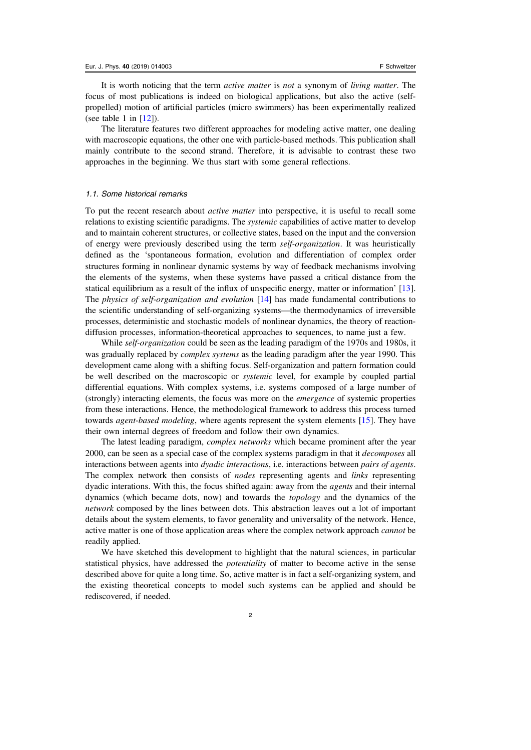It is worth noticing that the term active matter is not a synonym of living matter. The focus of most publications is indeed on biological applications, but also the active (selfpropelled) motion of artificial particles (micro swimmers) has been experimentally realized (see table 1 in  $[12]$  $[12]$  $[12]$ ).

The literature features two different approaches for modeling active matter, one dealing with macroscopic equations, the other one with particle-based methods. This publication shall mainly contribute to the second strand. Therefore, it is advisable to contrast these two approaches in the beginning. We thus start with some general reflections.

#### 1.1. Some historical remarks

To put the recent research about *active matter* into perspective, it is useful to recall some relations to existing scientific paradigms. The systemic capabilities of active matter to develop and to maintain coherent structures, or collective states, based on the input and the conversion of energy were previously described using the term self-organization. It was heuristically defined as the 'spontaneous formation, evolution and differentiation of complex order structures forming in nonlinear dynamic systems by way of feedback mechanisms involving the elements of the systems, when these systems have passed a critical distance from the statical equilibrium as a result of the influx of unspecific energy, matter or information' [[13](#page-19-0)]. The physics of self-organization and evolution [[14](#page-19-0)] has made fundamental contributions to the scientific understanding of self-organizing systems—the thermodynamics of irreversible processes, deterministic and stochastic models of nonlinear dynamics, the theory of reactiondiffusion processes, information-theoretical approaches to sequences, to name just a few.

While self-organization could be seen as the leading paradigm of the 1970s and 1980s, it was gradually replaced by *complex systems* as the leading paradigm after the year 1990. This development came along with a shifting focus. Self-organization and pattern formation could be well described on the macroscopic or systemic level, for example by coupled partial differential equations. With complex systems, i.e. systems composed of a large number of (strongly) interacting elements, the focus was more on the emergence of systemic properties from these interactions. Hence, the methodological framework to address this process turned towards *agent-based modeling*, where agents represent the system elements [[15](#page-19-0)]. They have their own internal degrees of freedom and follow their own dynamics.

The latest leading paradigm, *complex networks* which became prominent after the year 2000, can be seen as a special case of the complex systems paradigm in that it decomposes all interactions between agents into *dyadic interactions*, i.e. interactions between *pairs of agents*. The complex network then consists of *nodes* representing agents and *links* representing dyadic interations. With this, the focus shifted again: away from the agents and their internal dynamics (which became dots, now) and towards the topology and the dynamics of the network composed by the lines between dots. This abstraction leaves out a lot of important details about the system elements, to favor generality and universality of the network. Hence, active matter is one of those application areas where the complex network approach *cannot* be readily applied.

We have sketched this development to highlight that the natural sciences, in particular statistical physics, have addressed the potentiality of matter to become active in the sense described above for quite a long time. So, active matter is in fact a self-organizing system, and the existing theoretical concepts to model such systems can be applied and should be rediscovered, if needed.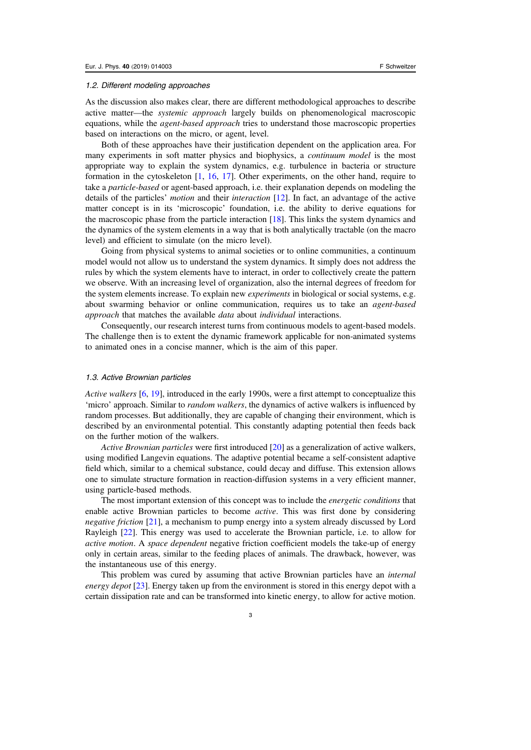#### 1.2. Different modeling approaches

As the discussion also makes clear, there are different methodological approaches to describe active matter—the systemic approach largely builds on phenomenological macroscopic equations, while the *agent-based approach* tries to understand those macroscopic properties based on interactions on the micro, or agent, level.

Both of these approaches have their justification dependent on the application area. For many experiments in soft matter physics and biophysics, a continuum model is the most appropriate way to explain the system dynamics, e.g. turbulence in bacteria or structure formation in the cytoskeleton [[1,](#page-19-0) [16,](#page-20-0) [17](#page-20-0)]. Other experiments, on the other hand, require to take a particle-based or agent-based approach, i.e. their explanation depends on modeling the details of the particles' motion and their interaction [[12](#page-19-0)]. In fact, an advantage of the active matter concept is in its 'microscopic' foundation, i.e. the ability to derive equations for the macroscopic phase from the particle interaction [[18](#page-20-0)]. This links the system dynamics and the dynamics of the system elements in a way that is both analytically tractable (on the macro level) and efficient to simulate (on the micro level).

Going from physical systems to animal societies or to online communities, a continuum model would not allow us to understand the system dynamics. It simply does not address the rules by which the system elements have to interact, in order to collectively create the pattern we observe. With an increasing level of organization, also the internal degrees of freedom for the system elements increase. To explain new *experiments* in biological or social systems, e.g. about swarming behavior or online communication, requires us to take an agent-based approach that matches the available data about individual interactions.

Consequently, our research interest turns from continuous models to agent-based models. The challenge then is to extent the dynamic framework applicable for non-animated systems to animated ones in a concise manner, which is the aim of this paper.

#### 1.3. Active Brownian particles

Active walkers [[6,](#page-19-0) [19](#page-20-0)], introduced in the early 1990s, were a first attempt to conceptualize this 'micro' approach. Similar to random walkers, the dynamics of active walkers is influenced by random processes. But additionally, they are capable of changing their environment, which is described by an environmental potential. This constantly adapting potential then feeds back on the further motion of the walkers.

Active Brownian particles were first introduced [[20](#page-20-0)] as a generalization of active walkers, using modified Langevin equations. The adaptive potential became a self-consistent adaptive field which, similar to a chemical substance, could decay and diffuse. This extension allows one to simulate structure formation in reaction-diffusion systems in a very efficient manner, using particle-based methods.

The most important extension of this concept was to include the *energetic conditions* that enable active Brownian particles to become *active*. This was first done by considering negative friction [[21](#page-20-0)], a mechanism to pump energy into a system already discussed by Lord Rayleigh [[22](#page-20-0)]. This energy was used to accelerate the Brownian particle, i.e. to allow for active motion. A space dependent negative friction coefficient models the take-up of energy only in certain areas, similar to the feeding places of animals. The drawback, however, was the instantaneous use of this energy.

This problem was cured by assuming that active Brownian particles have an internal energy depot [[23](#page-20-0)]. Energy taken up from the environment is stored in this energy depot with a certain dissipation rate and can be transformed into kinetic energy, to allow for active motion.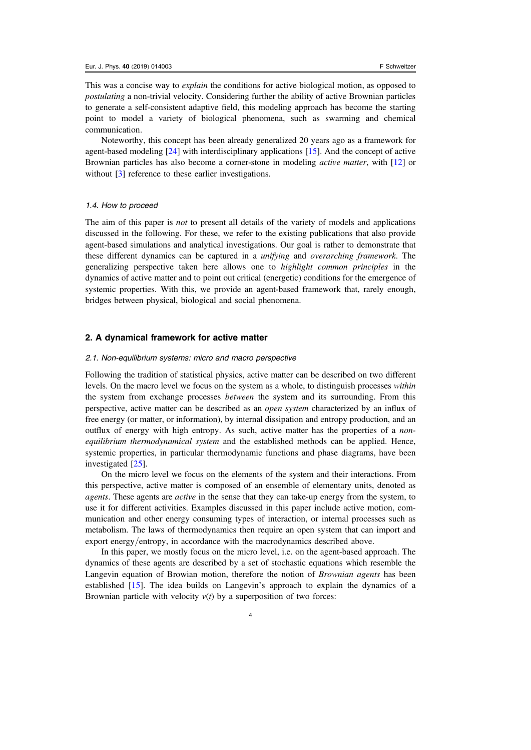<span id="page-4-0"></span>This was a concise way to *explain* the conditions for active biological motion, as opposed to postulating a non-trivial velocity. Considering further the ability of active Brownian particles to generate a self-consistent adaptive field, this modeling approach has become the starting point to model a variety of biological phenomena, such as swarming and chemical communication.

Noteworthy, this concept has been already generalized 20 years ago as a framework for agent-based modeling [[24](#page-20-0)] with interdisciplinary applications [[15](#page-19-0)]. And the concept of active Brownian particles has also become a corner-stone in modeling active matter, with [[12](#page-19-0)] or without [[3](#page-19-0)] reference to these earlier investigations.

#### 1.4. How to proceed

The aim of this paper is *not* to present all details of the variety of models and applications discussed in the following. For these, we refer to the existing publications that also provide agent-based simulations and analytical investigations. Our goal is rather to demonstrate that these different dynamics can be captured in a unifying and overarching framework. The generalizing perspective taken here allows one to highlight common principles in the dynamics of active matter and to point out critical (energetic) conditions for the emergence of systemic properties. With this, we provide an agent-based framework that, rarely enough, bridges between physical, biological and social phenomena.

#### 2. A dynamical framework for active matter

#### 2.1. Non-equilibrium systems: micro and macro perspective

Following the tradition of statistical physics, active matter can be described on two different levels. On the macro level we focus on the system as a whole, to distinguish processes within the system from exchange processes between the system and its surrounding. From this perspective, active matter can be described as an open system characterized by an influx of free energy (or matter, or information), by internal dissipation and entropy production, and an outflux of energy with high entropy. As such, active matter has the properties of a nonequilibrium thermodynamical system and the established methods can be applied. Hence, systemic properties, in particular thermodynamic functions and phase diagrams, have been investigated [[25](#page-20-0)].

On the micro level we focus on the elements of the system and their interactions. From this perspective, active matter is composed of an ensemble of elementary units, denoted as *agents*. These agents are *active* in the sense that they can take-up energy from the system, to use it for different activities. Examples discussed in this paper include active motion, communication and other energy consuming types of interaction, or internal processes such as metabolism. The laws of thermodynamics then require an open system that can import and export energy/entropy, in accordance with the macrodynamics described above.

In this paper, we mostly focus on the micro level, i.e. on the agent-based approach. The dynamics of these agents are described by a set of stochastic equations which resemble the Langevin equation of Browian motion, therefore the notion of *Brownian agents* has been established [[15](#page-19-0)]. The idea builds on Langevin's approach to explain the dynamics of a Brownian particle with velocity  $v(t)$  by a superposition of two forces: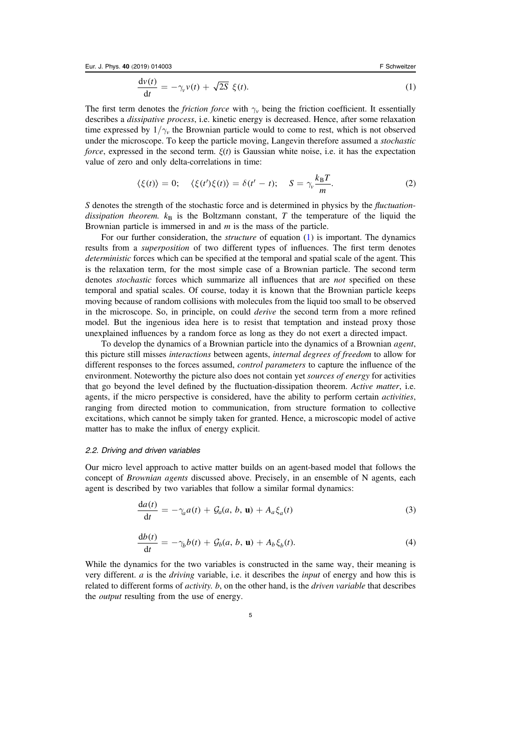<span id="page-5-0"></span>Eur. J. Phys. 40 (2019) 014003 F Schweitzer

$$
\frac{\mathrm{d}\nu(t)}{\mathrm{d}t} = -\gamma_{\nu}\nu(t) + \sqrt{2S} \xi(t). \tag{1}
$$

The first term denotes the *friction force* with  $\gamma_v$  being the friction coefficient. It essentially describes a dissipative process, i.e. kinetic energy is decreased. Hence, after some relaxation time expressed by  $1/\gamma_v$  the Brownian particle would to come to rest, which is not observed under the microscope. To keep the particle moving, Langevin therefore assumed a stochastic *force*, expressed in the second term.  $\xi(t)$  is Gaussian white noise, i.e. it has the expectation value of zero and only delta-correlations in time:

$$
\langle \xi(t) \rangle = 0; \quad \langle \xi(t') \xi(t) \rangle = \delta(t'-t); \quad S = \gamma_v \frac{k_B T}{m}.
$$
 (2)

S denotes the strength of the stochastic force and is determined in physics by the *fluctuation*dissipation theorem.  $k_B$  is the Boltzmann constant, T the temperature of the liquid the Brownian particle is immersed in and  $m$  is the mass of the particle.

For our further consideration, the *structure* of equation ([1](#page-4-0)) is important. The dynamics results from a superposition of two different types of influences. The first term denotes deterministic forces which can be specified at the temporal and spatial scale of the agent. This is the relaxation term, for the most simple case of a Brownian particle. The second term denotes *stochastic* forces which summarize all influences that are *not* specified on these temporal and spatial scales. Of course, today it is known that the Brownian particle keeps moving because of random collisions with molecules from the liquid too small to be observed in the microscope. So, in principle, on could derive the second term from a more refined model. But the ingenious idea here is to resist that temptation and instead proxy those unexplained influences by a random force as long as they do not exert a directed impact.

To develop the dynamics of a Brownian particle into the dynamics of a Brownian agent, this picture still misses interactions between agents, internal degrees of freedom to allow for different responses to the forces assumed, *control parameters* to capture the influence of the environment. Noteworthy the picture also does not contain yet *sources of energy* for activities that go beyond the level defined by the fluctuation-dissipation theorem. Active matter, i.e. agents, if the micro perspective is considered, have the ability to perform certain activities, ranging from directed motion to communication, from structure formation to collective excitations, which cannot be simply taken for granted. Hence, a microscopic model of active matter has to make the influx of energy explicit.

#### 2.2. Driving and driven variables

Our micro level approach to active matter builds on an agent-based model that follows the concept of *Brownian agents* discussed above. Precisely, in an ensemble of N agents, each agent is described by two variables that follow a similar formal dynamics:

$$
\frac{da(t)}{dt} = -\gamma_a a(t) + \mathcal{G}_a(a, b, \mathbf{u}) + A_a \xi_a(t)
$$
\n(3)

$$
\frac{\mathrm{d}b(t)}{\mathrm{d}t} = -\gamma_b b(t) + \mathcal{G}_b(a, b, \mathbf{u}) + A_b \xi_b(t). \tag{4}
$$

While the dynamics for the two variables is constructed in the same way, their meaning is very different.  $\alpha$  is the *driving* variable, i.e. it describes the *input* of energy and how this is related to different forms of *activity*. *b*, on the other hand, is the *driven variable* that describes the *output* resulting from the use of energy.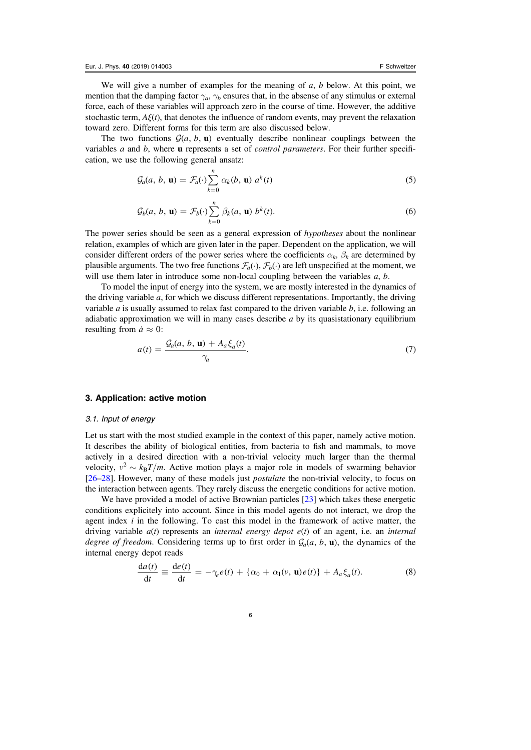<span id="page-6-0"></span>We will give a number of examples for the meaning of  $a$ ,  $b$  below. At this point, we mention that the damping factor  $\gamma_a$ ,  $\gamma_b$  ensures that, in the absense of any stimulus or external force, each of these variables will approach zero in the course of time. However, the additive stochastic term,  $A\xi(t)$ , that denotes the influence of random events, may prevent the relaxation toward zero. Different forms for this term are also discussed below.

The two functions  $\mathcal{G}(a, b, \mathbf{u})$  eventually describe nonlinear couplings between the variables a and b, where u represents a set of control parameters. For their further specification, we use the following general ansatz:

$$
\mathcal{G}_a(a, b, \mathbf{u}) = \mathcal{F}_a(\cdot) \sum_{k=0}^n \alpha_k(b, \mathbf{u}) \ a^k(t) \tag{5}
$$

$$
\mathcal{G}_b(a, b, \mathbf{u}) = \mathcal{F}_b(\cdot) \sum_{k=0}^n \beta_k(a, \mathbf{u}) b^k(t).
$$
 (6)

The power series should be seen as a general expression of *hypotheses* about the nonlinear relation, examples of which are given later in the paper. Dependent on the application, we will consider different orders of the power series where the coefficients  $\alpha_k$ ,  $\beta_k$  are determined by plausible arguments. The two free functions  $\mathcal{F}_a(\cdot)$ ,  $\mathcal{F}_b(\cdot)$  are left unspecified at the moment, we will use them later in introduce some non-local coupling between the variables  $a, b$ .

To model the input of energy into the system, we are mostly interested in the dynamics of the driving variable  $a$ , for which we discuss different representations. Importantly, the driving variable  $a$  is usually assumed to relax fast compared to the driven variable  $b$ , i.e. following an adiabatic approximation we will in many cases describe  $a$  by its quasistationary equilibrium resulting from  $\dot{a} \approx 0$ :

$$
a(t) = \frac{\mathcal{G}_a(a, b, \mathbf{u}) + A_a \xi_a(t)}{\gamma_a}.
$$
 (7)

#### 3. Application: active motion

#### 3.1. Input of energy

Let us start with the most studied example in the context of this paper, namely active motion. It describes the ability of biological entities, from bacteria to fish and mammals, to move actively in a desired direction with a non-trivial velocity much larger than the thermal velocity,  $v^2 \sim k_B T/m$ . Active motion plays a major role in models of swarming behavior [[26](#page-20-0)–[28](#page-20-0)]. However, many of these models just *postulate* the non-trivial velocity, to focus on the interaction between agents. They rarely discuss the energetic conditions for active motion.

We have provided a model of active Brownian particles [[23](#page-20-0)] which takes these energetic conditions explicitely into account. Since in this model agents do not interact, we drop the agent index  $i$  in the following. To cast this model in the framework of active matter, the driving variable  $a(t)$  represents an *internal energy depot e(t)* of an agent, i.e. an *internal* degree of freedom. Considering terms up to first order in  $\mathcal{G}_a(a, b, \mathbf{u})$ , the dynamics of the internal energy depot reads

$$
\frac{da(t)}{dt} \equiv \frac{de(t)}{dt} = -\gamma_e e(t) + \{\alpha_0 + \alpha_1(v, \mathbf{u})e(t)\} + A_a \xi_a(t).
$$
\n(8)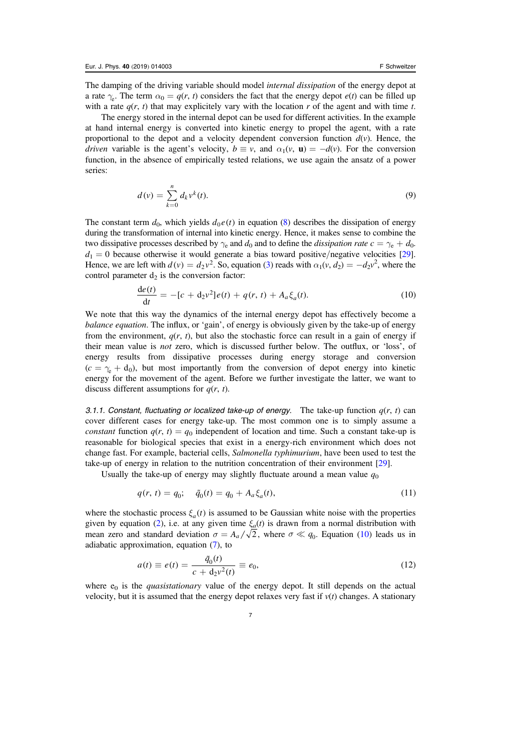<span id="page-7-0"></span>The damping of the driving variable should model *internal dissipation* of the energy depot at a rate  $\gamma_e$ . The term  $\alpha_0 = q(r, t)$  considers the fact that the energy depot  $e(t)$  can be filled up with a rate  $q(r, t)$  that may explicitely vary with the location r of the agent and with time t.

The energy stored in the internal depot can be used for different activities. In the example at hand internal energy is converted into kinetic energy to propel the agent, with a rate proportional to the depot and a velocity dependent conversion function  $d(v)$ . Hence, the *driven* variable is the agent's velocity,  $b \equiv v$ , and  $\alpha_1(v, \mathbf{u}) = -d(v)$ . For the conversion function, in the absence of empirically tested relations, we use again the ansatz of a power series:

$$
d(v) = \sum_{k=0}^{n} d_k v^k(t).
$$
 (9)

The constant term  $d_0$ , which yields  $d_0 e(t)$  in equation ([8](#page-6-0)) describes the dissipation of energy during the transformation of internal into kinetic energy. Hence, it makes sense to combine the two dissipative processes described by  $\gamma_e$  and  $d_0$  and to define the *dissipation rate*  $c = \gamma_e + d_0$ .  $d_1 = 0$  because otherwise it would generate a bias toward positive/negative velocities [[29](#page-20-0)]. Hence, we are left with  $d(v) = d_2v^2$ . So, equation ([3](#page-5-0)) reads with  $\alpha_1(v, d_2) = -d_2v^2$ , where the control parameter  $d_2$  is the conversion factor:

$$
\frac{de(t)}{dt} = -[c + d_2 v^2]e(t) + q(r, t) + A_a \xi_a(t).
$$
\n(10)

We note that this way the dynamics of the internal energy depot has effectively become a balance equation. The influx, or 'gain', of energy is obviously given by the take-up of energy from the environment,  $q(r, t)$ , but also the stochastic force can result in a gain of energy if their mean value is not zero, which is discussed further below. The outflux, or 'loss', of energy results from dissipative processes during energy storage and conversion  $(c = \gamma_e + d_0)$ , but most importantly from the conversion of depot energy into kinetic energy for the movement of the agent. Before we further investigate the latter, we want to discuss different assumptions for  $q(r, t)$ .

3.1.1. Constant, fluctuating or localized take-up of energy. The take-up function  $q(r, t)$  can cover different cases for energy take-up. The most common one is to simply assume a constant function  $q(r, t) = q_0$  independent of location and time. Such a constant take-up is reasonable for biological species that exist in a energy-rich environment which does not change fast. For example, bacterial cells, Salmonella typhimurium, have been used to test the take-up of energy in relation to the nutrition concentration of their environment [[29](#page-20-0)].

Usually the take-up of energy may slightly fluctuate around a mean value  $q_0$ 

$$
q(r, t) = q_0; \quad \tilde{q}_0(t) = q_0 + A_a \xi_a(t), \tag{11}
$$

where the stochastic process  $\xi_a(t)$  is assumed to be Gaussian white noise with the properties given by equation ([2](#page-5-0)), i.e. at any given time  $\xi_a(t)$  is drawn from a normal distribution with mean zero and standard deviation  $\sigma = A_a/\sqrt{2}$ , where  $\sigma \ll q_0$ . Equation (10) leads us in adiabatic approximation, equation ([7](#page-6-0)), to

$$
a(t) \equiv e(t) = \frac{\tilde{q}_0(t)}{c + d_2 v^2(t)} \equiv e_0,
$$
\n(12)

where  $e_0$  is the *quasistationary* value of the energy depot. It still depends on the actual velocity, but it is assumed that the energy depot relaxes very fast if  $v(t)$  changes. A stationary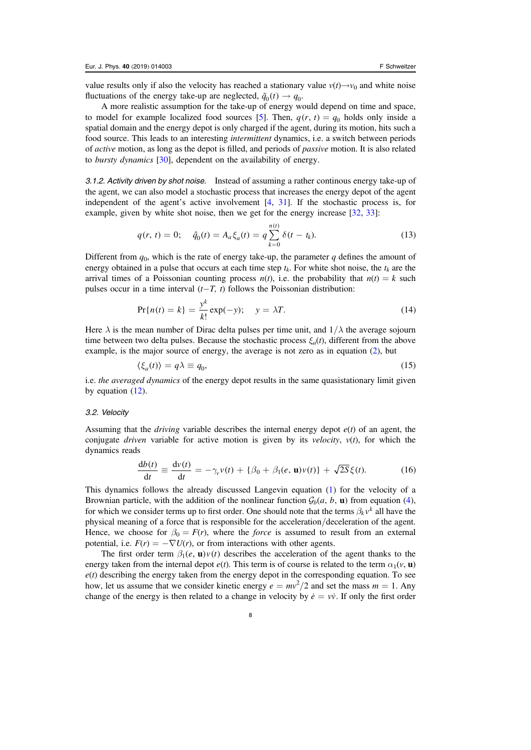<span id="page-8-0"></span>value results only if also the velocity has reached a stationary value  $v(t) \rightarrow v_0$  and white noise fluctuations of the energy take-up are neglected,  $\tilde{q}_0(t) \rightarrow q_0$ .

A more realistic assumption for the take-up of energy would depend on time and space, to model for example localized food sources [[5](#page-19-0)]. Then,  $q(r, t) = q_0$  holds only inside a spatial domain and the energy depot is only charged if the agent, during its motion, hits such a food source. This leads to an interesting intermittent dynamics, i.e. a switch between periods of active motion, as long as the depot is filled, and periods of passive motion. It is also related to bursty dynamics [[30](#page-20-0)], dependent on the availability of energy.

3.1.2. Activity driven by shot noise. Instead of assuming a rather continous energy take-up of the agent, we can also model a stochastic process that increases the energy depot of the agent independent of the agent's active involvement [[4,](#page-19-0) [31](#page-20-0)]. If the stochastic process is, for example, given by white shot noise, then we get for the energy increase [[32,](#page-20-0) [33](#page-20-0)]:

$$
q(r, t) = 0; \quad \hat{q}_0(t) = A_a \xi_a(t) = q \sum_{k=0}^{n(t)} \delta(t - t_k).
$$
 (13)

Different from  $q_0$ , which is the rate of energy take-up, the parameter q defines the amount of energy obtained in a pulse that occurs at each time step  $t_k$ . For white shot noise, the  $t_k$  are the arrival times of a Poissonian counting process  $n(t)$ , i.e. the probability that  $n(t) = k$  such pulses occur in a time interval  $(t-T, t)$  follows the Poissonian distribution:

$$
\Pr\{n(t) = k\} = \frac{y^k}{k!} \exp(-y); \quad y = \lambda T. \tag{14}
$$

Here  $\lambda$  is the mean number of Dirac delta pulses per time unit, and  $1/\lambda$  the average sojourn time between two delta pulses. Because the stochastic process  $\xi_a(t)$ , different from the above example, is the major source of energy, the average is not zero as in equation ([2](#page-5-0)), but

$$
\langle \xi_a(t) \rangle = q\lambda \equiv q_0,\tag{15}
$$

i.e. the averaged dynamics of the energy depot results in the same quasistationary limit given by equation ([12](#page-7-0)).

#### 3.2. Velocity

Assuming that the *driving* variable describes the internal energy depot  $e(t)$  of an agent, the conjugate *driven* variable for active motion is given by its *velocity*,  $v(t)$ , for which the dynamics reads

$$
\frac{\mathrm{d}b(t)}{\mathrm{d}t} \equiv \frac{\mathrm{d}v(t)}{\mathrm{d}t} = -\gamma_v v(t) + \{\beta_0 + \beta_1(e, \mathbf{u})v(t)\} + \sqrt{2S}\xi(t). \tag{16}
$$

This dynamics follows the already discussed Langevin equation ([1](#page-4-0)) for the velocity of a Brownian particle, with the addition of the nonlinear function  $\mathcal{G}_b(a, b, \mathbf{u})$  from equation ([4](#page-5-0)), for which we consider terms up to first order. One should note that the terms  $\beta_k v^k$  all have the physical meaning of a force that is responsible for the acceleration/deceleration of the agent. Hence, we choose for  $\beta_0 = F(r)$ , where the *force* is assumed to result from an external potential, i.e.  $F(r) = -\nabla U(r)$ , or from interactions with other agents.

The first order term  $\beta_1(e, \mathbf{u})v(t)$  describes the acceleration of the agent thanks to the energy taken from the internal depot  $e(t)$ . This term is of course is related to the term  $\alpha_1(v, \mathbf{u})$  $e(t)$  describing the energy taken from the energy depot in the corresponding equation. To see how, let us assume that we consider kinetic energy  $e = mv^2/2$  and set the mass  $m = 1$ . Any change of the energy is then related to a change in velocity by  $\dot{e} = v\dot{v}$ . If only the first order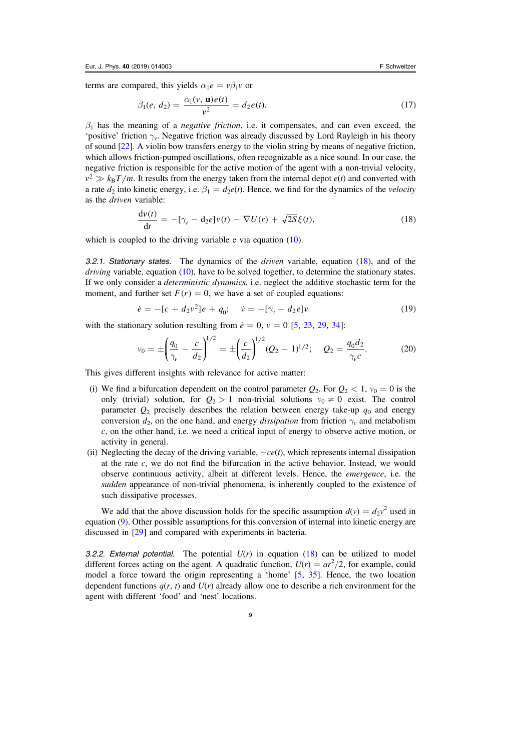terms are compared, this yields  $\alpha_1 e = v \beta_1 v$  or

$$
\beta_1(e, d_2) = \frac{\alpha_1(v, \mathbf{u})e(t)}{v^2} = d_2e(t). \tag{17}
$$

 $\beta_1$  has the meaning of a *negative friction*, i.e. it compensates, and can even exceed, the 'positive' friction  $\gamma_v$ . Negative friction was already discussed by Lord Rayleigh in his theory of sound [[22](#page-20-0)]. A violin bow transfers energy to the violin string by means of negative friction, which allows friction-pumped oscillations, often recognizable as a nice sound. In our case, the negative friction is responsible for the active motion of the agent with a non-trivial velocity,  $v^2 \gg k_B T/m$ . It results from the energy taken from the internal depot  $e(t)$  and converted with a rate  $d_2$  into kinetic energy, i.e.  $\beta_1 = d_2e(t)$ . Hence, we find for the dynamics of the *velocity* as the driven variable:

$$
\frac{\mathrm{d}v(t)}{\mathrm{d}t} = -[\gamma_v - \mathrm{d}_2 e]v(t) - \nabla U(r) + \sqrt{2S}\xi(t),\tag{18}
$$

which is coupled to the driving variable e via equation ([10](#page-7-0)).

3.2.1. Stationary states. The dynamics of the *driven* variable, equation  $(18)$ , and of the *driving variable, equation ([10](#page-7-0)), have to be solved together, to determine the stationary states.* If we only consider a deterministic dynamics, i.e. neglect the additive stochastic term for the moment, and further set  $F(r) = 0$ , we have a set of coupled equations:

$$
\dot{e} = -[c + d_2 v^2]e + q_0; \quad \dot{v} = -[\gamma_v - d_2 e]v \tag{19}
$$

with the stationary solution resulting from  $\dot{e} = 0$ ,  $\dot{v} = 0$  [[5](#page-19-0), [23](#page-20-0), [29](#page-20-0), [34](#page-20-0)]:

$$
v_0 = \pm \left(\frac{q_0}{\gamma_v} - \frac{c}{d_2}\right)^{1/2} = \pm \left(\frac{c}{d_2}\right)^{1/2} (Q_2 - 1)^{1/2}; \quad Q_2 = \frac{q_0 d_2}{\gamma_v c}.
$$
 (20)

This gives different insights with relevance for active matter:

- (i) We find a bifurcation dependent on the control parameter  $Q_2$ . For  $Q_2 < 1$ ,  $v_0 = 0$  is the only (trivial) solution, for  $Q_2 > 1$  non-trivial solutions  $v_0 \neq 0$  exist. The control parameter  $Q_2$  precisely describes the relation between energy take-up  $q_0$  and energy conversion  $d_2$ , on the one hand, and energy *dissipation* from friction  $\gamma_v$  and metabolism c, on the other hand, i.e. we need a critical input of energy to observe active motion, or activity in general.
- (ii) Neglecting the decay of the driving variable,  $-ce(t)$ , which represents internal dissipation at the rate  $c$ , we do not find the bifurcation in the active behavior. Instead, we would observe continuous activity, albeit at different levels. Hence, the emergence, i.e. the sudden appearance of non-trivial phenomena, is inherently coupled to the existence of such dissipative processes.

We add that the above discussion holds for the specific assumption  $d(v) = d_2v^2$  used in equation ([9](#page-7-0)). Other possible assumptions for this conversion of internal into kinetic energy are discussed in [[29](#page-20-0)] and compared with experiments in bacteria.

3.2.2. External potential. The potential  $U(r)$  in equation (18) can be utilized to model different forces acting on the agent. A quadratic function,  $U(r) = ar^2/2$ , for example, could model a force toward the origin representing a 'home' [[5,](#page-19-0) [35](#page-20-0)]. Hence, the two location dependent functions  $q(r, t)$  and  $U(r)$  already allow one to describe a rich environment for the agent with different 'food' and 'nest' locations.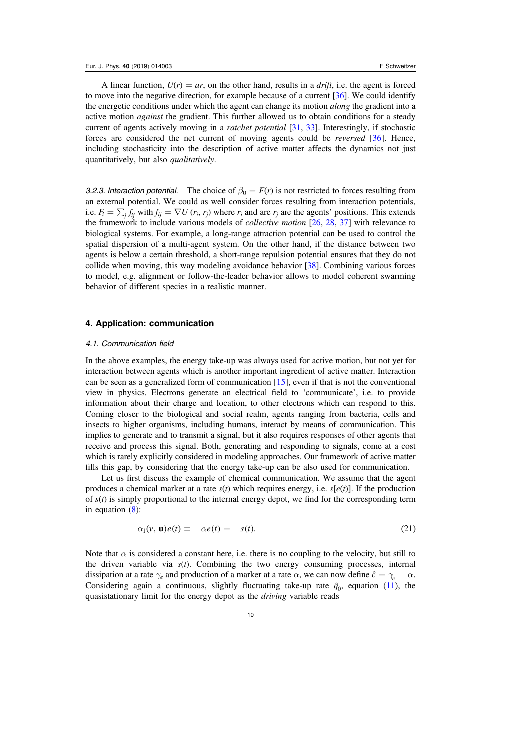<span id="page-10-0"></span>A linear function,  $U(r) = ar$ , on the other hand, results in a *drift*, i.e. the agent is forced to move into the negative direction, for example because of a current [[36](#page-20-0)]. We could identify the energetic conditions under which the agent can change its motion *along* the gradient into a active motion *against* the gradient. This further allowed us to obtain conditions for a steady current of agents actively moving in a ratchet potential [[31](#page-20-0), [33](#page-20-0)]. Interestingly, if stochastic forces are considered the net current of moving agents could be reversed [[36](#page-20-0)]. Hence, including stochasticity into the description of active matter affects the dynamics not just quantitatively, but also qualitatively.

3.2.3. Interaction potential. The choice of  $\beta_0 = F(r)$  is not restricted to forces resulting from an external potential. We could as well consider forces resulting from interaction potentials, i.e.  $F_i = \sum_i f_{ij}$  with  $f_{ij} = \nabla U(r_i, r_j)$  where  $r_i$  and are  $r_j$  are the agents' positions. This extends the framework to include various models of collective motion [[26,](#page-20-0) [28](#page-20-0), [37](#page-20-0)] with relevance to biological systems. For example, a long-range attraction potential can be used to control the spatial dispersion of a multi-agent system. On the other hand, if the distance between two agents is below a certain threshold, a short-range repulsion potential ensures that they do not collide when moving, this way modeling avoidance behavior [[38](#page-20-0)]. Combining various forces to model, e.g. alignment or follow-the-leader behavior allows to model coherent swarming behavior of different species in a realistic manner.

#### 4. Application: communication

#### 4.1. Communication field

In the above examples, the energy take-up was always used for active motion, but not yet for interaction between agents which is another important ingredient of active matter. Interaction can be seen as a generalized form of communication [[15](#page-19-0)], even if that is not the conventional view in physics. Electrons generate an electrical field to 'communicate', i.e. to provide information about their charge and location, to other electrons which can respond to this. Coming closer to the biological and social realm, agents ranging from bacteria, cells and insects to higher organisms, including humans, interact by means of communication. This implies to generate and to transmit a signal, but it also requires responses of other agents that receive and process this signal. Both, generating and responding to signals, come at a cost which is rarely explicitly considered in modeling approaches. Our framework of active matter fills this gap, by considering that the energy take-up can be also used for communication.

Let us first discuss the example of chemical communication. We assume that the agent produces a chemical marker at a rate  $s(t)$  which requires energy, i.e.  $s[e(t)]$ . If the production of  $s(t)$  is simply proportional to the internal energy depot, we find for the corresponding term in equation ([8](#page-6-0)):

$$
\alpha_1(v, \mathbf{u})e(t) \equiv -\alpha e(t) = -s(t). \tag{21}
$$

Note that  $\alpha$  is considered a constant here, i.e. there is no coupling to the velocity, but still to the driven variable via  $s(t)$ . Combining the two energy consuming processes, internal dissipation at a rate  $\gamma_e$  and production of a marker at a rate  $\alpha$ , we can now define  $\hat{c} = \gamma_e + \alpha$ . Considering again a continuous, slightly fluctuating take-up rate  $\tilde{q}_0$ , equation ([11](#page-7-0)), the quasistationary limit for the energy depot as the driving variable reads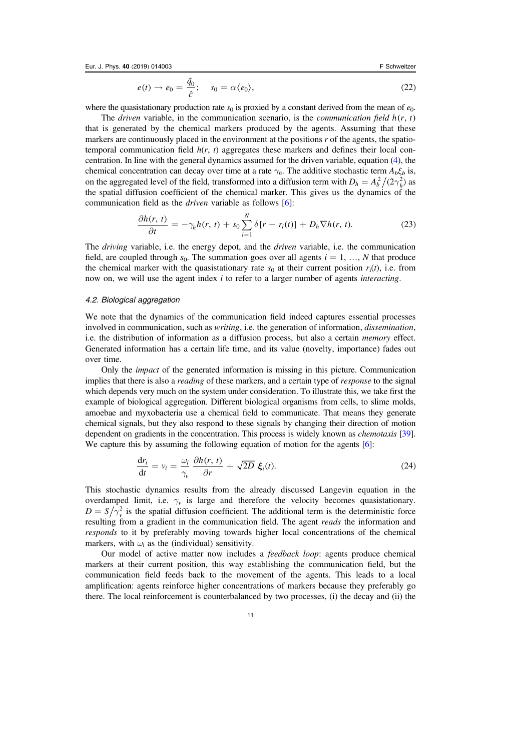<span id="page-11-0"></span>Eur. J. Phys. 40 (2019) 014003

$$
e(t) \to e_0 = \frac{\tilde{q}_0}{\hat{c}}; \quad s_0 = \alpha \langle e_0 \rangle,
$$
 (22)

where the quasistationary production rate  $s_0$  is proxied by a constant derived from the mean of  $e_0$ .

The *driven* variable, in the communication scenario, is the *communication field*  $h(r, t)$ that is generated by the chemical markers produced by the agents. Assuming that these markers are continuously placed in the environment at the positions  $r$  of the agents, the spatiotemporal communication field  $h(r, t)$  aggregates these markers and defines their local concentration. In line with the general dynamics assumed for the driven variable, equation ([4](#page-5-0)), the chemical concentration can decay over time at a rate  $\gamma_h$ . The additive stochastic term  $A_b \xi_b$  is, on the aggregated level of the field, transformed into a diffusion term with  $D_h = A_b^2/(2\gamma_h^2)$  as the spatial diffusion coefficient of the chemical marker. This gives us the dynamics of the communication field as the driven variable as follows [[6](#page-19-0)]:

$$
\frac{\partial h(r,\,t)}{\partial t} = -\gamma_h h(r,\,t) + s_0 \sum_{i=1}^N \delta[r - r_i(t)] + D_h \nabla h(r,\,t). \tag{23}
$$

The driving variable, i.e. the energy depot, and the driven variable, i.e. the communication field, are coupled through  $s_0$ . The summation goes over all agents  $i = 1, ..., N$  that produce the chemical marker with the quasistationary rate  $s_0$  at their current position  $r_i(t)$ , i.e. from now on, we will use the agent index  $i$  to refer to a larger number of agents *interacting*.

#### 4.2. Biological aggregation

We note that the dynamics of the communication field indeed captures essential processes involved in communication, such as *writing*, i.e. the generation of information, *dissemination*, i.e. the distribution of information as a diffusion process, but also a certain memory effect. Generated information has a certain life time, and its value (novelty, importance) fades out over time.

Only the impact of the generated information is missing in this picture. Communication implies that there is also a *reading* of these markers, and a certain type of *response* to the signal which depends very much on the system under consideration. To illustrate this, we take first the example of biological aggregation. Different biological organisms from cells, to slime molds, amoebae and myxobacteria use a chemical field to communicate. That means they generate chemical signals, but they also respond to these signals by changing their direction of motion dependent on gradients in the concentration. This process is widely known as *chemotaxis* [[39](#page-20-0)]. We capture this by assuming the following equation of motion for the agents [[6](#page-19-0)]:

$$
\frac{\mathrm{d}r_i}{\mathrm{d}t} = v_i = \frac{\omega_i}{\gamma_v} \frac{\partial h(r, t)}{\partial r} + \sqrt{2D} \xi_i(t). \tag{24}
$$

This stochastic dynamics results from the already discussed Langevin equation in the overdamped limit, i.e.  $\gamma_v$  is large and therefore the velocity becomes quasistationary.  $D = S/\overline{\gamma}_v^2$  is the spatial diffusion coefficient. The additional term is the deterministic force resulting from a gradient in the communication field. The agent *reads* the information and responds to it by preferably moving towards higher local concentrations of the chemical markers, with  $\omega_i$  as the (individual) sensitivity.

Our model of active matter now includes a *feedback loop*: agents produce chemical markers at their current position, this way establishing the communication field, but the communication field feeds back to the movement of the agents. This leads to a local amplification: agents reinforce higher concentrations of markers because they preferably go there. The local reinforcement is counterbalanced by two processes, (i) the decay and (ii) the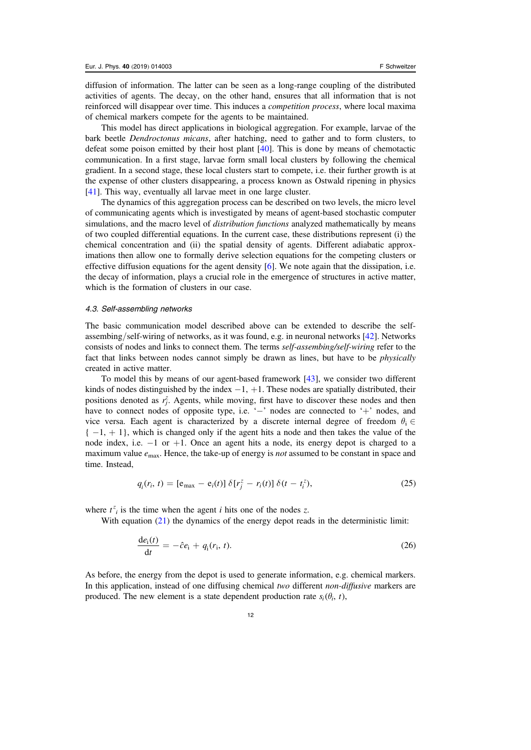diffusion of information. The latter can be seen as a long-range coupling of the distributed activities of agents. The decay, on the other hand, ensures that all information that is not reinforced will disappear over time. This induces a *competition process*, where local maxima of chemical markers compete for the agents to be maintained.

This model has direct applications in biological aggregation. For example, larvae of the bark beetle Dendroctonus micans, after hatching, need to gather and to form clusters, to defeat some poison emitted by their host plant [[40](#page-20-0)]. This is done by means of chemotactic communication. In a first stage, larvae form small local clusters by following the chemical gradient. In a second stage, these local clusters start to compete, i.e. their further growth is at the expense of other clusters disappearing, a process known as Ostwald ripening in physics [[41](#page-20-0)]. This way, eventually all larvae meet in one large cluster.

The dynamics of this aggregation process can be described on two levels, the micro level of communicating agents which is investigated by means of agent-based stochastic computer simulations, and the macro level of *distribution functions* analyzed mathematically by means of two coupled differential equations. In the current case, these distributions represent (i) the chemical concentration and (ii) the spatial density of agents. Different adiabatic approximations then allow one to formally derive selection equations for the competing clusters or effective diffusion equations for the agent density  $[6]$  $[6]$  $[6]$ . We note again that the dissipation, i.e. the decay of information, plays a crucial role in the emergence of structures in active matter, which is the formation of clusters in our case.

#### 4.3. Self-assembling networks

The basic communication model described above can be extended to describe the selfassembing/self-wiring of networks, as it was found, e.g. in neuronal networks [[42](#page-20-0)]. Networks consists of nodes and links to connect them. The terms self-assembing/self-wiring refer to the fact that links between nodes cannot simply be drawn as lines, but have to be *physically* created in active matter.

To model this by means of our agent-based framework [[43](#page-20-0)], we consider two different kinds of nodes distinguished by the index  $-1$ ,  $+1$ . These nodes are spatially distributed, their positions denoted as  $r_j^z$ . Agents, while moving, first have to discover these nodes and then have to connect nodes of opposite type, i.e. '-' nodes are connected to '+' nodes, and vice versa. Each agent is characterized by a discrete internal degree of freedom  $\theta_i \in$  $\{-1, +1\}$ , which is changed only if the agent hits a node and then takes the value of the node index, i.e. −1 or +1. Once an agent hits a node, its energy depot is charged to a maximum value  $e_{\text{max}}$ . Hence, the take-up of energy is *not* assumed to be constant in space and time. Instead,

$$
q_i(r_i, t) = [e_{\text{max}} - e_i(t)] \delta[r_j^z - r_i(t)] \delta(t - t_i^z),
$$
 (25)

where  $t^z_i$  is the time when the agent *i* hits one of the nodes *z*.

With equation ([21](#page-10-0)) the dynamics of the energy depot reads in the deterministic limit:

$$
\frac{\mathrm{d}e_{\rm i}(t)}{\mathrm{d}t} = -\hat{c}e_{\rm i} + q_{\rm i}(r_{\rm i}, t). \tag{26}
$$

As before, the energy from the depot is used to generate information, e.g. chemical markers. In this application, instead of one diffusing chemical two different non-diffusive markers are produced. The new element is a state dependent production rate  $s_i(\theta_i, t)$ ,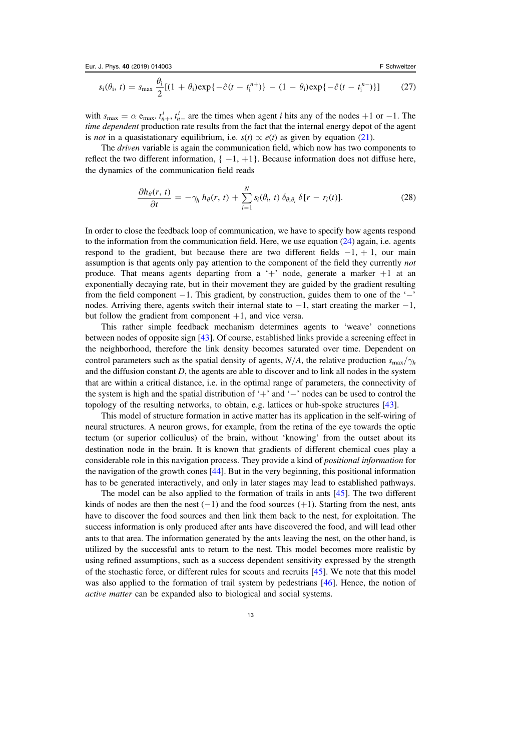<span id="page-13-0"></span>
$$
s_i(\theta_i, t) = s_{\max} \frac{\theta_i}{2} [(1 + \theta_i) \exp\{-\hat{c}(t - t_i^{n+})\} - (1 - \theta_i) \exp\{-\hat{c}(t - t_i^{n-})\}] \tag{27}
$$

with  $s_{\text{max}} = \alpha e_{\text{max}}$ ,  $t_{n+1}^i$ ,  $t_n^i$  are the times when agent *i* hits any of the nodes +1 or −1. The time dependent production rate results from the fact that the internal energy depot of the agent is not in a quasistationary equilibrium, i.e.  $s(t) \propto e(t)$  as given by equation ([21](#page-10-0)).

The driven variable is again the communication field, which now has two components to reflect the two different information,  $\{-1, +1\}$ . Because information does not diffuse here, the dynamics of the communication field reads

$$
\frac{\partial h_{\theta}(r,\,t)}{\partial t} = -\gamma_h \, h_{\theta}(r,\,t) + \sum_{i=1}^N s_i(\theta_i,\,t) \, \delta_{\theta;\theta_i} \, \delta[r - r_i(t)]. \tag{28}
$$

In order to close the feedback loop of communication, we have to specify how agents respond to the information from the communication field. Here, we use equation  $(24)$  $(24)$  $(24)$  again, i.e. agents respond to the gradient, but because there are two different fields  $-1, +1$ , our main assumption is that agents only pay attention to the component of the field they currently not produce. That means agents departing from a '+' node, generate a marker  $+1$  at an exponentially decaying rate, but in their movement they are guided by the gradient resulting from the field component  $-1$ . This gradient, by construction, guides them to one of the ' $-$ ' nodes. Arriving there, agents switch their internal state to −1, start creating the marker −1, but follow the gradient from component  $+1$ , and vice versa.

This rather simple feedback mechanism determines agents to 'weave' connetions between nodes of opposite sign [[43](#page-20-0)]. Of course, established links provide a screening effect in the neighborhood, therefore the link density becomes saturated over time. Dependent on control parameters such as the spatial density of agents,  $N/A$ , the relative production  $s_{\text{max}}/\gamma_h$ and the diffusion constant  $D$ , the agents are able to discover and to link all nodes in the system that are within a critical distance, i.e. in the optimal range of parameters, the connectivity of the system is high and the spatial distribution of '+' and '−' nodes can be used to control the topology of the resulting networks, to obtain, e.g. lattices or hub-spoke structures [[43](#page-20-0)].

This model of structure formation in active matter has its application in the self-wiring of neural structures. A neuron grows, for example, from the retina of the eye towards the optic tectum (or superior colliculus) of the brain, without 'knowing' from the outset about its destination node in the brain. It is known that gradients of different chemical cues play a considerable role in this navigation process. They provide a kind of positional information for the navigation of the growth cones [[44](#page-20-0)]. But in the very beginning, this positional information has to be generated interactively, and only in later stages may lead to established pathways.

The model can be also applied to the formation of trails in ants [[45](#page-21-0)]. The two different kinds of nodes are then the nest  $(-1)$  and the food sources  $(+1)$ . Starting from the nest, ants have to discover the food sources and then link them back to the nest, for exploitation. The success information is only produced after ants have discovered the food, and will lead other ants to that area. The information generated by the ants leaving the nest, on the other hand, is utilized by the successful ants to return to the nest. This model becomes more realistic by using refined assumptions, such as a success dependent sensitivity expressed by the strength of the stochastic force, or different rules for scouts and recruits [[45](#page-21-0)]. We note that this model was also applied to the formation of trail system by pedestrians [[46](#page-21-0)]. Hence, the notion of active matter can be expanded also to biological and social systems.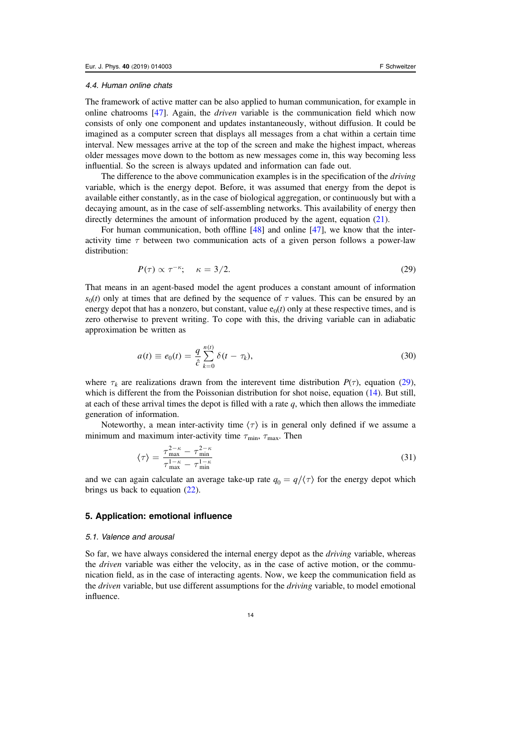#### <span id="page-14-0"></span>4.4. Human online chats

The framework of active matter can be also applied to human communication, for example in online chatrooms  $[47]$  $[47]$  $[47]$ . Again, the *driven* variable is the communication field which now consists of only one component and updates instantaneously, without diffusion. It could be imagined as a computer screen that displays all messages from a chat within a certain time interval. New messages arrive at the top of the screen and make the highest impact, whereas older messages move down to the bottom as new messages come in, this way becoming less influential. So the screen is always updated and information can fade out.

The difference to the above communication examples is in the specification of the *driving* variable, which is the energy depot. Before, it was assumed that energy from the depot is available either constantly, as in the case of biological aggregation, or continuously but with a decaying amount, as in the case of self-assembling networks. This availability of energy then directly determines the amount of information produced by the agent, equation ([21](#page-10-0)).

For human communication, both offline [[48](#page-21-0)] and online [[47](#page-21-0)], we know that the interactivity time  $\tau$  between two communication acts of a given person follows a power-law distribution:

$$
P(\tau) \propto \tau^{-\kappa}; \quad \kappa = 3/2. \tag{29}
$$

That means in an agent-based model the agent produces a constant amount of information  $s<sub>0</sub>(t)$  only at times that are defined by the sequence of  $\tau$  values. This can be ensured by an energy depot that has a nonzero, but constant, value  $e_0(t)$  only at these respective times, and is zero otherwise to prevent writing. To cope with this, the driving variable can in adiabatic approximation be written as

$$
a(t) \equiv e_0(t) = \frac{q}{\hat{c}} \sum_{k=0}^{n(t)} \delta(t - \tau_k),
$$
\n(30)

where  $\tau_k$  are realizations drawn from the interevent time distribution  $P(\tau)$ , equation (29), which is different the from the Poissonian distribution for shot noise, equation ([14](#page-8-0)). But still, at each of these arrival times the depot is filled with a rate  $q$ , which then allows the immediate generation of information.

Noteworthy, a mean inter-activity time  $\langle \tau \rangle$  is in general only defined if we assume a minimum and maximum inter-activity time  $\tau_{\min}$ ,  $\tau_{\max}$ . Then

$$
\langle \tau \rangle = \frac{\tau_{\text{max}}^{2-\kappa} - \tau_{\text{min}}^{2-\kappa}}{\tau_{\text{max}}^{1-\kappa} - \tau_{\text{min}}^{1-\kappa}}
$$
(31)

and we can again calculate an average take-up rate  $q_0 = q/\langle \tau \rangle$  for the energy depot which brings us back to equation ([22](#page-10-0)).

#### 5. Application: emotional influence

#### 5.1. Valence and arousal

So far, we have always considered the internal energy depot as the *driving* variable, whereas the *driven* variable was either the velocity, as in the case of active motion, or the communication field, as in the case of interacting agents. Now, we keep the communication field as the *driven* variable, but use different assumptions for the *driving* variable, to model emotional influence.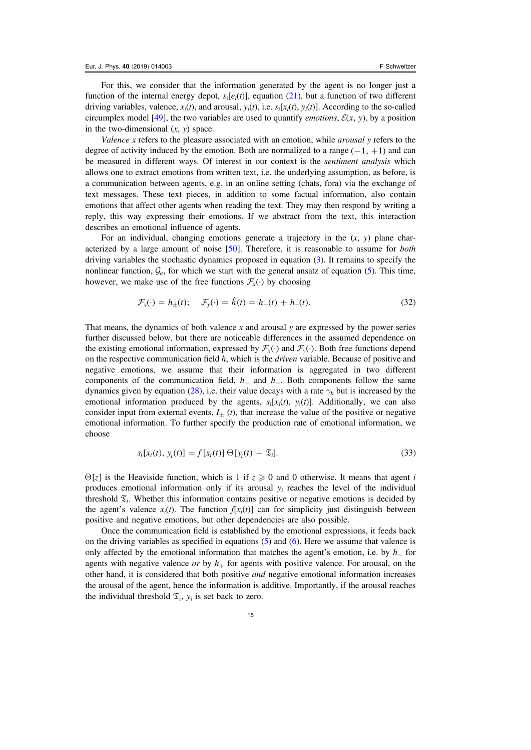For this, we consider that the information generated by the agent is no longer just a function of the internal energy depot,  $s_i[e_i(t)]$ , equation ([21](#page-10-0)), but a function of two different driving variables, valence,  $x_i(t)$ , and arousal,  $y_i(t)$ , i.e.  $s_i[x_i(t), y_i(t)]$ . According to the so-called circumplex model [[49](#page-21-0)], the two variables are used to quantify *emotions*,  $\mathcal{E}(x, y)$ , by a position in the two-dimensional  $(x, y)$  space.

Valence x refers to the pleasure associated with an emotion, while *arousal*  $y$  refers to the degree of activity induced by the emotion. Both are normalized to a range  $(-1, +1)$  and can be measured in different ways. Of interest in our context is the sentiment analysis which allows one to extract emotions from written text, i.e. the underlying assumption, as before, is a communication between agents, e.g. in an online setting (chats, fora) via the exchange of text messages. These text pieces, in addition to some factual information, also contain emotions that affect other agents when reading the text. They may then respond by writing a reply, this way expressing their emotions. If we abstract from the text, this interaction describes an emotional influence of agents.

For an individual, changing emotions generate a trajectory in the  $(x, y)$  plane characterized by a large amount of noise [[50](#page-21-0)]. Therefore, it is reasonable to assume for both driving variables the stochastic dynamics proposed in equation ([3](#page-5-0)). It remains to specify the nonlinear function,  $\mathcal{G}_a$ , for which we start with the general ansatz of equation ([5](#page-6-0)). This time, however, we make use of the free functions  $\mathcal{F}_a(\cdot)$  by choosing

$$
\mathcal{F}_x(\cdot) = h_{\pm}(t); \quad \mathcal{F}_y(\cdot) = \hat{h}(t) = h_{+}(t) + h_{-}(t).
$$
 (32)

That means, the dynamics of both valence x and arousal y are expressed by the power series further discussed below, but there are noticeable differences in the assumed dependence on the existing emotional information, expressed by  $\mathcal{F}_x(\cdot)$  and  $\mathcal{F}_y(\cdot)$ . Both free functions depend on the respective communication field  $h$ , which is the *driven* variable. Because of positive and negative emotions, we assume that their information is aggregated in two different components of the communication field,  $h_+$  and  $h_-\$ . Both components follow the same dynamics given by equation ([28](#page-13-0)), i.e. their value decays with a rate  $\gamma_h$  but is increased by the emotional information produced by the agents,  $s_i[x_i(t), y_i(t)]$ . Additionally, we can also consider input from external events,  $I_{\pm}$  (t), that increase the value of the positive or negative emotional information. To further specify the production rate of emotional information, we choose

$$
s_i[x_i(t), y_i(t)] = f[x_i(t)] \Theta[y_i(t) - \mathfrak{T}_i].
$$
\n(33)

 $\Theta$ [*z*] is the Heaviside function, which is 1 if  $z \ge 0$  and 0 otherwise. It means that agent *i* produces emotional information only if its arousal  $y_i$  reaches the level of the individual threshold  $\mathfrak{T}_i$ . Whether this information contains positive or negative emotions is decided by the agent's valence  $x_i(t)$ . The function  $f[x_i(t)]$  can for simplicity just distinguish between positive and negative emotions, but other dependencies are also possible.

Once the communication field is established by the emotional expressions, it feeds back on the driving variables as specified in equations ([5](#page-6-0)) and ([6](#page-6-0)). Here we assume that valence is only affected by the emotional information that matches the agent's emotion, i.e. by  $h_$  for agents with negative valence or by  $h_{+}$  for agents with positive valence. For arousal, on the other hand, it is considered that both positive and negative emotional information increases the arousal of the agent, hence the information is additive. Importantly, if the arousal reaches the individual threshold  $\mathfrak{T}_i$ ,  $y_i$  is set back to zero.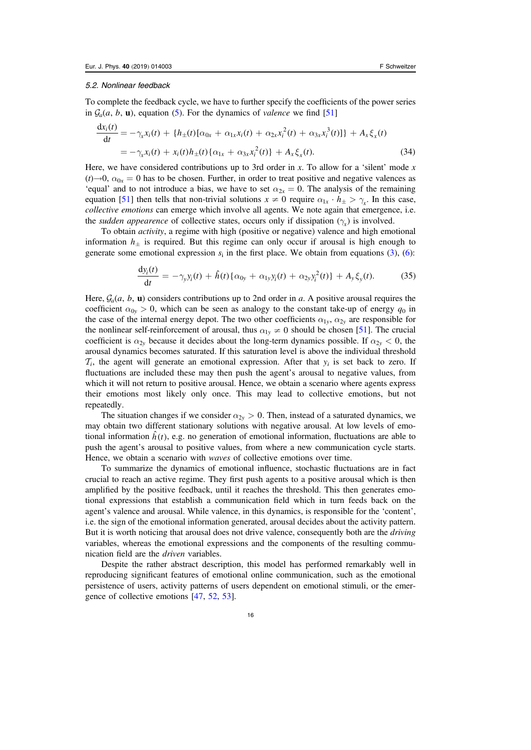#### <span id="page-16-0"></span>5.2. Nonlinear feedback

To complete the feedback cycle, we have to further specify the coefficients of the power series in  $\mathcal{G}_a(a, b, \mathbf{u})$ , equation ([5](#page-6-0)). For the dynamics of *valence* we find [[51](#page-21-0)]

$$
\frac{dx_i(t)}{dt} = -\gamma_x x_i(t) + \{h_{\pm}(t)[\alpha_{0x} + \alpha_{1x}x_i(t) + \alpha_{2x}x_i^2(t) + \alpha_{3x}x_i^3(t)]\} + A_x \xi_x(t)
$$
  
=  $-\gamma_x x_i(t) + x_i(t)h_{\pm}(t)\{\alpha_{1x} + \alpha_{3x}x_i^2(t)\} + A_x \xi_x(t).$  (34)

Here, we have considered contributions up to 3rd order in x. To allow for a 'silent' mode x  $(t) \rightarrow 0$ ,  $\alpha_{0x} = 0$  has to be chosen. Further, in order to treat positive and negative valences as 'equal' and to not introduce a bias, we have to set  $\alpha_{2x} = 0$ . The analysis of the remaining equation [[51](#page-21-0)] then tells that non-trivial solutions  $x \neq 0$  require  $\alpha_{1x} \cdot h_{\pm} > \gamma_{x}$ . In this case, collective emotions can emerge which involve all agents. We note again that emergence, i.e. the *sudden appearence* of collective states, occurs only if dissipation  $(\gamma_x)$  is involved.

To obtain activity, a regime with high (positive or negative) valence and high emotional information  $h_{\pm}$  is required. But this regime can only occur if arousal is high enough to generate some emotional expression  $s_i$  in the first place. We obtain from equations ([3](#page-5-0)), ([6](#page-6-0)):

$$
\frac{dy_i(t)}{dt} = -\gamma_y y_i(t) + \hat{h}(t) \{ \alpha_{0y} + \alpha_{1y} y_i(t) + \alpha_{2y} y_i^2(t) \} + A_y \xi_y(t). \tag{35}
$$

Here,  $\mathcal{G}_a(a, b, \mathbf{u})$  considers contributions up to 2nd order in a. A positive arousal requires the coefficient  $\alpha_{0y} > 0$ , which can be seen as analogy to the constant take-up of energy  $q_0$  in the case of the internal energy depot. The two other coefficients  $\alpha_1$ <sub>*y*</sub>,  $\alpha_2$ <sub>*y*</sub> are responsible for the nonlinear self-reinforcement of arousal, thus  $\alpha_{1y} \neq 0$  should be chosen [[51](#page-21-0)]. The crucial coefficient is  $\alpha_{2y}$  because it decides about the long-term dynamics possible. If  $\alpha_{2y} < 0$ , the arousal dynamics becomes saturated. If this saturation level is above the individual threshold  $\mathcal{T}_i$ , the agent will generate an emotional expression. After that  $y_i$  is set back to zero. If fluctuations are included these may then push the agent's arousal to negative values, from which it will not return to positive arousal. Hence, we obtain a scenario where agents express their emotions most likely only once. This may lead to collective emotions, but not repeatedly.

The situation changes if we consider  $\alpha_{2y} > 0$ . Then, instead of a saturated dynamics, we may obtain two different stationary solutions with negative arousal. At low levels of emotional information  $\hat{h}(t)$ , e.g. no generation of emotional information, fluctuations are able to push the agent's arousal to positive values, from where a new communication cycle starts. Hence, we obtain a scenario with waves of collective emotions over time.

To summarize the dynamics of emotional influence, stochastic fluctuations are in fact crucial to reach an active regime. They first push agents to a positive arousal which is then amplified by the positive feedback, until it reaches the threshold. This then generates emotional expressions that establish a communication field which in turn feeds back on the agent's valence and arousal. While valence, in this dynamics, is responsible for the 'content', i.e. the sign of the emotional information generated, arousal decides about the activity pattern. But it is worth noticing that arousal does not drive valence, consequently both are the *driving* variables, whereas the emotional expressions and the components of the resulting communication field are the driven variables.

Despite the rather abstract description, this model has performed remarkably well in reproducing significant features of emotional online communication, such as the emotional persistence of users, activity patterns of users dependent on emotional stimuli, or the emergence of collective emotions [[47,](#page-21-0) [52](#page-21-0), [53](#page-21-0)].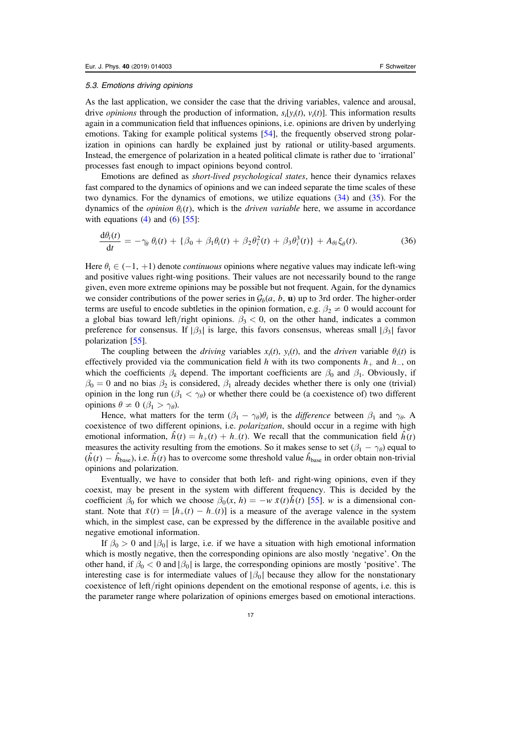#### 5.3. Emotions driving opinions

As the last application, we consider the case that the driving variables, valence and arousal, drive *opinions* through the production of information,  $s_i[y_i(t), y_i(t)]$ . This information results again in a communication field that influences opinions, i.e. opinions are driven by underlying emotions. Taking for example political systems [[54](#page-21-0)], the frequently observed strong polarization in opinions can hardly be explained just by rational or utility-based arguments. Instead, the emergence of polarization in a heated political climate is rather due to 'irrational' processes fast enough to impact opinions beyond control.

Emotions are defined as short-lived psychological states, hence their dynamics relaxes fast compared to the dynamics of opinions and we can indeed separate the time scales of these two dynamics. For the dynamics of emotions, we utilize equations ([34](#page-16-0)) and ([35](#page-16-0)). For the dynamics of the *opinion*  $\theta_i(t)$ , which is the *driven variable* here, we assume in accordance with equations  $(4)$  $(4)$  $(4)$  and  $(6)$  $(6)$  $(6)$  [[55](#page-21-0)]:

$$
\frac{\mathrm{d}\theta_i(t)}{\mathrm{d}t} = -\gamma_\theta \theta_i(t) + \{\beta_0 + \beta_1 \theta_i(t) + \beta_2 \theta_i^2(t) + \beta_3 \theta_i^3(t)\} + A_{\theta i} \xi_\theta(t). \tag{36}
$$

Here  $\theta_i \in (-1, +1)$  denote *continuous* opinions where negative values may indicate left-wing and positive values right-wing positions. Their values are not necessarily bound to the range given, even more extreme opinions may be possible but not frequent. Again, for the dynamics we consider contributions of the power series in  $\mathcal{G}_b(a, b, \mathbf{u})$  up to 3rd order. The higher-order terms are useful to encode subtleties in the opinion formation, e.g.  $\beta_2 \neq 0$  would account for a global bias toward left/right opinions.  $\beta_3 < 0$ , on the other hand, indicates a common preference for consensus. If  $\left|\beta_3\right|$  is large, this favors consensus, whereas small  $\left|\beta_3\right|$  favor polarization [[55](#page-21-0)].

The coupling between the driving variables  $x_i(t)$ ,  $y_i(t)$ , and the driven variable  $\theta_i(t)$  is effectively provided via the communication field h with its two components  $h_+$  and  $h_-,$  on which the coefficients  $\beta_k$  depend. The important coefficients are  $\beta_0$  and  $\beta_1$ . Obviously, if  $\beta_0 = 0$  and no bias  $\beta_2$  is considered,  $\beta_1$  already decides whether there is only one (trivial) opinion in the long run ( $\beta_1 < \gamma_\theta$ ) or whether there could be (a coexistence of) two different opinions  $\theta \neq 0$  ( $\beta_1 > \gamma_\theta$ ).

Hence, what matters for the term  $(\beta_1 - \gamma_\theta)\theta_i$  is the *difference* between  $\beta_1$  and  $\gamma_\theta$ . A coexistence of two different opinions, i.e. *polarization*, should occur in a regime with high emotional information,  $\hat{h}(t) = h_{+}(t) + h_{-}(t)$ . We recall that the communication field  $\hat{h}(t)$ measures the activity resulting from the emotions. So it makes sense to set  $(\beta_1 - \gamma_\theta)$  equal to  $(\hat{h}(t) - \hat{h}_{base})$ , i.e.  $\hat{h}(t)$  has to overcome some threshold value  $\hat{h}_{base}$  in order obtain non-trivial opinions and polarization.

Eventually, we have to consider that both left- and right-wing opinions, even if they coexist, may be present in the system with different frequency. This is decided by the coefficient  $\beta_0$  for which we choose  $\beta_0(x, h) = -w \bar{x}(t) \hat{h}(t)$  [[55](#page-21-0)]. w is a dimensional constant. Note that  $\bar{x}(t) = [h_{+}(t) - h_{-}(t)]$  is a measure of the average valence in the system which, in the simplest case, can be expressed by the difference in the available positive and negative emotional information.

If  $\beta_0 > 0$  and | $\beta_0$ | is large, i.e. if we have a situation with high emotional information which is mostly negative, then the corresponding opinions are also mostly 'negative'. On the other hand, if  $\beta_0 < 0$  and  $|\beta_0|$  is large, the corresponding opinions are mostly 'positive'. The interesting case is for intermediate values of  $\beta_0$  because they allow for the nonstationary coexistence of left/right opinions dependent on the emotional response of agents, i.e. this is the parameter range where polarization of opinions emerges based on emotional interactions.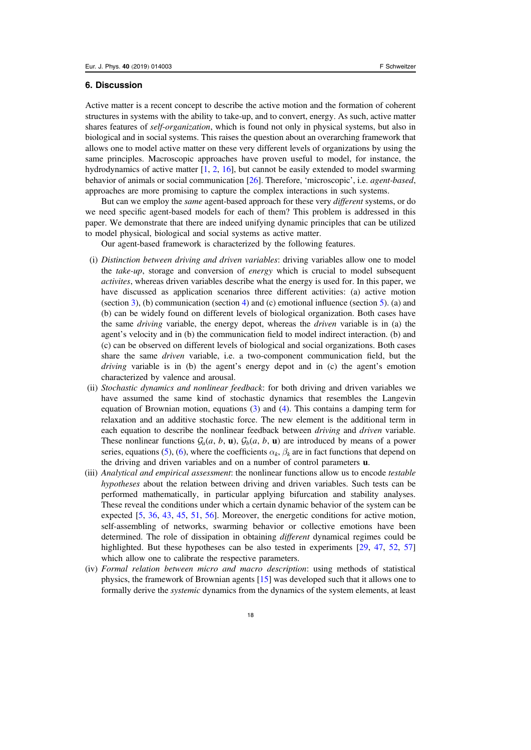#### 6. Discussion

Active matter is a recent concept to describe the active motion and the formation of coherent structures in systems with the ability to take-up, and to convert, energy. As such, active matter shares features of *self-organization*, which is found not only in physical systems, but also in biological and in social systems. This raises the question about an overarching framework that allows one to model active matter on these very different levels of organizations by using the same principles. Macroscopic approaches have proven useful to model, for instance, the hydrodynamics of active matter [[1](#page-19-0), [2,](#page-19-0) [16](#page-20-0)], but cannot be easily extended to model swarming behavior of animals or social communication [[26](#page-20-0)]. Therefore, 'microscopic', i.e. agent-based, approaches are more promising to capture the complex interactions in such systems.

But can we employ the *same* agent-based approach for these very *different* systems, or do we need specific agent-based models for each of them? This problem is addressed in this paper. We demonstrate that there are indeed unifying dynamic principles that can be utilized to model physical, biological and social systems as active matter.

Our agent-based framework is characterized by the following features.

- (i) Distinction between driving and driven variables: driving variables allow one to model the take-up, storage and conversion of energy which is crucial to model subsequent activites, whereas driven variables describe what the energy is used for. In this paper, we have discussed as application scenarios three different activities: (a) active motion (section [3](#page-6-0)), (b) communication (section [4](#page-10-0)) and (c) emotional influence (section [5](#page-14-0)). (a) and (b) can be widely found on different levels of biological organization. Both cases have the same driving variable, the energy depot, whereas the driven variable is in (a) the agent's velocity and in (b) the communication field to model indirect interaction. (b) and (c) can be observed on different levels of biological and social organizations. Both cases share the same driven variable, i.e. a two-component communication field, but the driving variable is in (b) the agent's energy depot and in (c) the agent's emotion characterized by valence and arousal.
- (ii) Stochastic dynamics and nonlinear feedback: for both driving and driven variables we have assumed the same kind of stochastic dynamics that resembles the Langevin equation of Brownian motion, equations  $(3)$  $(3)$  $(3)$  and  $(4)$  $(4)$  $(4)$ . This contains a damping term for relaxation and an additive stochastic force. The new element is the additional term in each equation to describe the nonlinear feedback between driving and driven variable. These nonlinear functions  $\mathcal{G}_a(a, b, \mathbf{u})$ ,  $\mathcal{G}_b(a, b, \mathbf{u})$  are introduced by means of a power series, equations ([5](#page-6-0)), ([6](#page-6-0)), where the coefficients  $\alpha_k$ ,  $\beta_k$  are in fact functions that depend on the driving and driven variables and on a number of control parameters u.
- (iii) Analytical and empirical assessment: the nonlinear functions allow us to encode testable hypotheses about the relation between driving and driven variables. Such tests can be performed mathematically, in particular applying bifurcation and stability analyses. These reveal the conditions under which a certain dynamic behavior of the system can be expected [[5](#page-19-0), [36](#page-20-0), [43](#page-20-0), [45](#page-21-0), [51](#page-21-0), [56](#page-21-0)]. Moreover, the energetic conditions for active motion, self-assembling of networks, swarming behavior or collective emotions have been determined. The role of dissipation in obtaining different dynamical regimes could be highlighted. But these hypotheses can be also tested in experiments [[29,](#page-20-0) [47,](#page-21-0) [52](#page-21-0), [57](#page-21-0)] which allow one to calibrate the respective parameters.
- (iv) Formal relation between micro and macro description: using methods of statistical physics, the framework of Brownian agents [[15](#page-19-0)] was developed such that it allows one to formally derive the systemic dynamics from the dynamics of the system elements, at least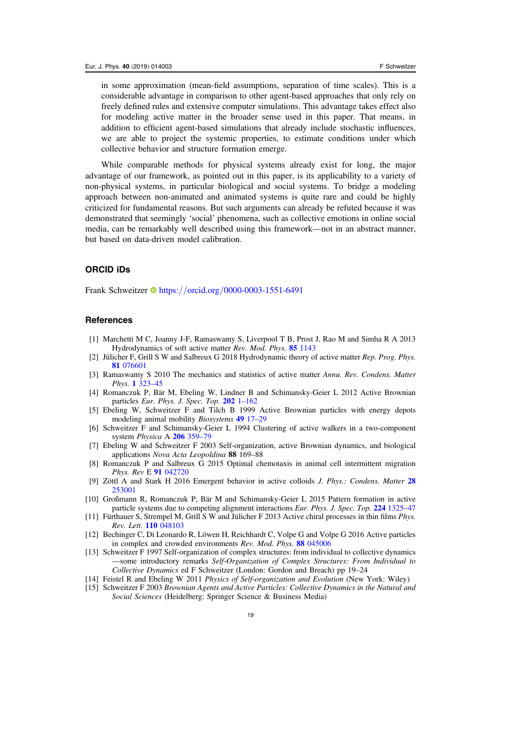<span id="page-19-0"></span>in some approximation (mean-field assumptions, separation of time scales). This is a considerable advantage in comparison to other agent-based approaches that only rely on freely defined rules and extensive computer simulations. This advantage takes effect also for modeling active matter in the broader sense used in this paper. That means, in addition to efficient agent-based simulations that already include stochastic influences, we are able to project the systemic properties, to estimate conditions under which collective behavior and structure formation emerge.

While comparable methods for physical systems already exist for long, the major advantage of our framework, as pointed out in this paper, is its applicability to a variety of non-physical systems, in particular biological and social systems. To bridge a modeling approach between non-animated and animated systems is quite rare and could be highly criticized for fundamental reasons. But such arguments can already be refuted because it was demonstrated that seemingly 'social' phenomena, such as collective emotions in online social media, can be remarkably well described using this framework—not in an abstract manner, but based on data-driven model calibration.

#### ORCID iDs

Frank Schweitzer **https://orcid.org/[0000-0003-1551-6491](https://orcid.org/0000-0003-1551-6491)** 

#### **References**

- [1] Marchetti M C, Joanny J-F, Ramaswamy S, Liverpool T B, Prost J, Rao M and Simha R A 2013 Hydrodynamics of soft active matter Rev. Mod. Phys. 85 [1143](https://doi.org/10.1103/RevModPhys.85.1143)
- [2] Jülicher F, Grill S W and Salbreux G 2018 Hydrodynamic theory of active matter Rep. Prog. Phys. 81 [076601](https://doi.org/10.1088/1361-6633/aab6bb)
- [3] Ramaswamy S 2010 The mechanics and statistics of active matter Annu. Rev. Condens. Matter Phys. 1 [323](https://doi.org/10.1146/annurev-conmatphys-070909-104101)–45
- [4] Romanczuk P, Bär M, Ebeling W, Lindner B and Schimansky-Geier L 2012 Active Brownian particles Eur. Phys. J. Spec. Top.  $202$  1–[162](https://doi.org/10.1140/epjst/e2012-01529-y)
- [5] Ebeling W, Schweitzer F and Tilch B 1999 Active Brownian particles with energy depots modeling animal mobility Biosystems 49 [17](https://doi.org/10.1016/S0303-2647(98)00027-6)–29
- [6] Schweitzer F and Schimansky-Geier L 1994 Clustering of active walkers in a two-component system Physica A 206 [359](https://doi.org/10.1016/0378-4371(94)90312-3)–79
- [7] Ebeling W and Schweitzer F 2003 Self-organization, active Brownian dynamics, and biological applications Nova Acta Leopoldina 88 169–88
- [8] Romanczuk P and Salbreux G 2015 Optimal chemotaxis in animal cell intermittent migration Phys. Rev E 91 [042720](https://doi.org/10.1103/PhysRevE.91.042720)
- [9] Zöttl A and Stark H 2016 Emergent behavior in active colloids J. Phys.: Condens. Matter [28](https://doi.org/10.1088/0953-8984/28/25/253001) [253001](https://doi.org/10.1088/0953-8984/28/25/253001)
- [10] Großmann R, Romanczuk P, Bär M and Schimansky-Geier L 2015 Pattern formation in active particle systems due to competing alignment interactions Eur. Phys. J. Spec. Top. 224 [1325](https://doi.org/10.1140/epjst/e2015-02462-3)–47
- [11] Fürthauer S, Strempel M, Grill S W and Jülicher F 2013 Active chiral processes in thin films Phys. Rev. Lett. 110 [048103](https://doi.org/10.1103/PhysRevLett.110.048103)
- [12] Bechinger C, Di Leonardo R, Löwen H, Reichhardt C, Volpe G and Volpe G 2016 Active particles in complex and crowded environments Rev. Mod. Phys. 88 [045006](https://doi.org/10.1103/RevModPhys.88.045006)
- [13] Schweitzer F 1997 Self-organization of complex structures: from individual to collective dynamics —some introductory remarks Self-Organization of Complex Structures: From Individual to Collective Dynamics ed F Schweitzer (London: Gordon and Breach) pp 19–24
- [14] Feistel R and Ebeling W 2011 Physics of Self-organization and Evolution (New York: Wiley)
- [15] Schweitzer F 2003 Brownian Agents and Active Particles: Collective Dynamics in the Natural and Social Sciences (Heidelberg: Springer Science & Business Media)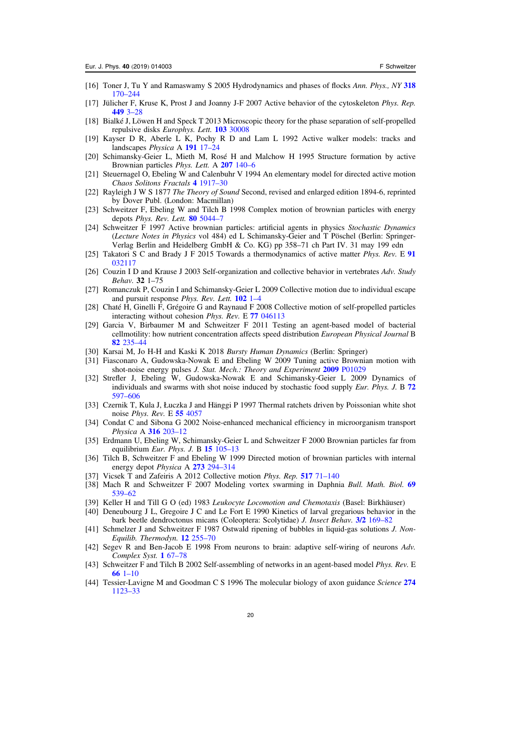- <span id="page-20-0"></span>[16] Toner J, Tu Y and Ramaswamy S 2005 Hydrodynamics and phases of flocks Ann. Phys., NY [318](https://doi.org/10.1016/j.aop.2005.04.011) [170](https://doi.org/10.1016/j.aop.2005.04.011)–[244](https://doi.org/10.1016/j.aop.2005.04.011)
- [17] Jülicher F, Kruse K, Prost J and Joanny J-F 2007 Active behavior of the cytoskeleton Phys. Rep. [449](https://doi.org/10.1016/j.physrep.2007.02.018) 3–28
- [18] Bialké J, Löwen H and Speck T 2013 Microscopic theory for the phase separation of self-propelled repulsive disks Europhys. Lett. 103 [30008](https://doi.org/10.1209/0295-5075/103/30008)
- [19] Kayser D R, Aberle L K, Pochy R D and Lam L 1992 Active walker models: tracks and landscapes Physica A [191](https://doi.org/10.1016/0378-4371(92)90499-G) 17–24
- [20] Schimansky-Geier L, Mieth M, Rosé H and Malchow H 1995 Structure formation by active Brownian particles Phys. Lett. A 207 [140](https://doi.org/10.1016/0375-9601(95)00700-D)–6
- [21] Steuernagel O, Ebeling W and Calenbuhr V 1994 An elementary model for directed active motion Chaos Solitons Fractals 4 [1917](https://doi.org/10.1016/0960-0779(94)90007-8)–30
- [22] Rayleigh J W S 1877 The Theory of Sound Second, revised and enlarged edition 1894-6, reprinted by Dover Publ. (London: Macmillan)
- [23] Schweitzer F, Ebeling W and Tilch B 1998 Complex motion of brownian particles with energy depots Phys. Rev. Lett. 80 [5044](https://doi.org/10.1103/PhysRevLett.80.5044)-7
- [24] Schweitzer F 1997 Active brownian particles: artificial agents in physics Stochastic Dynamics (Lecture Notes in Physics vol 484) ed L Schimansky-Geier and T Pöschel (Berlin: Springer-Verlag Berlin and Heidelberg GmbH & Co. KG) pp 358–71 ch Part IV. 31 may 199 edn
- [25] Takatori S C and Brady J F 2015 Towards a thermodynamics of active matter *Phys. Rev.* E [91](https://doi.org/10.1103/PhysRevE.91.032117) [032117](https://doi.org/10.1103/PhysRevE.91.032117)
- [26] Couzin I D and Krause J 2003 Self-organization and collective behavior in vertebrates Adv. Study Behav. 32 1–75
- [27] Romanczuk P, Couzin I and Schimansky-Geier L 2009 Collective motion due to individual escape and pursuit response Phys. Rev. Lett. [102](https://doi.org/10.1103/PhysRevLett.102.010602) 1–4
- [28] Chaté H, Ginelli F, Grégoire G and Raynaud F 2008 Collective motion of self-propelled particles interacting without cohesion Phys. Rev. E 77 [046113](https://doi.org/10.1103/PhysRevE.77.046113)
- [29] Garcia V, Birbaumer M and Schweitzer F 2011 Testing an agent-based model of bacterial cellmotility: how nutrient concentration affects speed distribution European Physical Journal B 82 [235](https://doi.org/10.1140/epjb/e2011-20425-2)–44
- [30] Karsai M, Jo H-H and Kaski K 2018 Bursty Human Dynamics (Berlin: Springer)
- [31] Fiasconaro A, Gudowska-Nowak E and Ebeling W 2009 Tuning active Brownian motion with shot-noise energy pulses J. Stat. Mech.: Theory and Experiment 2009 [P01029](https://doi.org/10.1088/1742-5468/2009/01/P01029)
- [32] Strefler J, Ebeling W, Gudowska-Nowak E and Schimansky-Geier L 2009 Dynamics of individuals and swarms with shot noise induced by stochastic food supply *Eur. Phys. J.* B [72](https://doi.org/10.1140/epjb/e2009-00408-8) [597](https://doi.org/10.1140/epjb/e2009-00408-8)–[606](https://doi.org/10.1140/epjb/e2009-00408-8)
- [33] Czernik T, Kula J, Łuczka J and Hänggi P 1997 Thermal ratchets driven by Poissonian white shot noise Phys. Rev. E 55 [4057](https://doi.org/10.1103/PhysRevE.55.4057)
- [34] Condat C and Sibona G 2002 Noise-enhanced mechanical efficiency in microorganism transport Physica A 316 [203](https://doi.org/10.1016/S0378-4371(02)01496-6)–12
- [35] Erdmann U, Ebeling W, Schimansky-Geier L and Schweitzer F 2000 Brownian particles far from equilibrium Eur. Phys. J. B 15 [105](https://doi.org/10.1007/s100510051104)-13
- [36] Tilch B, Schweitzer F and Ebeling W 1999 Directed motion of brownian particles with internal energy depot Physica A 273 [294](https://doi.org/10.1016/S0378-4371(99)00247-2)–314
- [37] Vicsek T and Zafeiris A 2012 Collective motion *Phys. Rep.* [517](https://doi.org/10.1016/j.physrep.2012.03.004) 71–[140](https://doi.org/10.1016/j.physrep.2012.03.004)
- [38] Mach R and Schweitzer F 2007 Modeling vortex swarming in Daphnia Bull. Math. Biol. [69](https://doi.org/10.1007/s11538-006-9135-3) [539](https://doi.org/10.1007/s11538-006-9135-3)–62
- [39] Keller H and Till G O (ed) 1983 Leukocyte Locomotion and Chemotaxis (Basel: Birkhäuser)
- [40] Deneubourg J L, Gregoire J C and Le Fort E 1990 Kinetics of larval gregarious behavior in the bark beetle dendroctonus micans (Coleoptera: Scolytidae) J. Insect Behav. 3/2 [169](https://doi.org/10.1007/BF01417910)–82
- [41] Schmelzer J and Schweitzer F 1987 Ostwald ripening of bubbles in liquid-gas solutions J. Non-Equilib. Thermodyn. 12 [255](https://doi.org/10.1515/jnet.1987.12.3.255)–70
- [42] Segev R and Ben-Jacob E 1998 From neurons to brain: adaptive self-wiring of neurons Adv. Complex Syst. 1 [67](https://doi.org/10.1142/S0219525998000053)–78
- [43] Schweitzer F and Tilch B 2002 Self-assembling of networks in an agent-based model Phys. Rev. E [66](https://doi.org/10.1103/PhysRevE.66.026113) 1–[10](https://doi.org/10.1103/PhysRevE.66.026113)
- [44] Tessier-Lavigne M and Goodman C S 1996 The molecular biology of axon guidance Science [274](https://doi.org/10.1126/science.274.5290.1123) [1123](https://doi.org/10.1126/science.274.5290.1123)–33